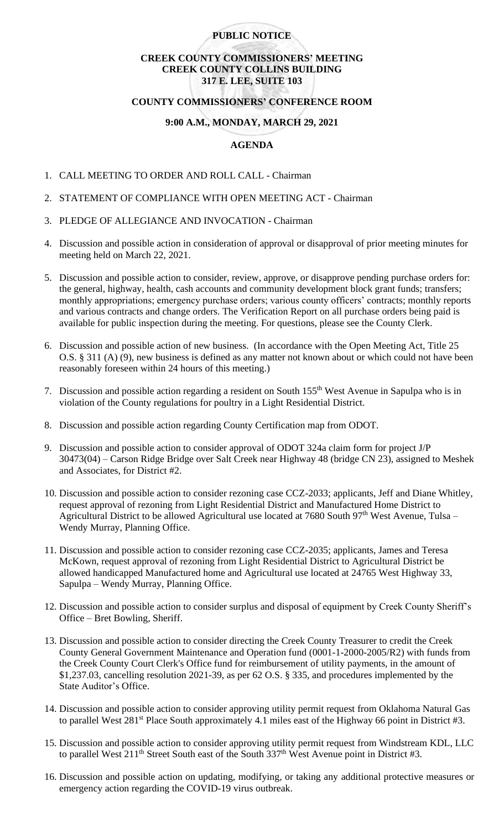## **PUBLIC NOTICE**

# **CREEK COUNTY COMMISSIONERS' MEETING CREEK COUNTY COLLINS BUILDING 317 E. LEE, SUITE 103**

### **COUNTY COMMISSIONERS' CONFERENCE ROOM**

### **9:00 A.M., MONDAY, MARCH 29, 2021**

#### **AGENDA**

- 1. CALL MEETING TO ORDER AND ROLL CALL Chairman
- 2. STATEMENT OF COMPLIANCE WITH OPEN MEETING ACT Chairman
- 3. PLEDGE OF ALLEGIANCE AND INVOCATION Chairman
- 4. Discussion and possible action in consideration of approval or disapproval of prior meeting minutes for meeting held on March 22, 2021.
- 5. Discussion and possible action to consider, review, approve, or disapprove pending purchase orders for: the general, highway, health, cash accounts and community development block grant funds; transfers; monthly appropriations; emergency purchase orders; various county officers' contracts; monthly reports and various contracts and change orders. The Verification Report on all purchase orders being paid is available for public inspection during the meeting. For questions, please see the County Clerk.
- 6. Discussion and possible action of new business. (In accordance with the Open Meeting Act, Title 25 O.S. § 311 (A) (9), new business is defined as any matter not known about or which could not have been reasonably foreseen within 24 hours of this meeting.)
- 7. Discussion and possible action regarding a resident on South 155th West Avenue in Sapulpa who is in violation of the County regulations for poultry in a Light Residential District.
- 8. Discussion and possible action regarding County Certification map from ODOT.
- 9. Discussion and possible action to consider approval of ODOT 324a claim form for project J/P 30473(04) – Carson Ridge Bridge over Salt Creek near Highway 48 (bridge CN 23), assigned to Meshek and Associates, for District #2.
- 10. Discussion and possible action to consider rezoning case CCZ-2033; applicants, Jeff and Diane Whitley, request approval of rezoning from Light Residential District and Manufactured Home District to Agricultural District to be allowed Agricultural use located at 7680 South 97<sup>th</sup> West Avenue, Tulsa – Wendy Murray, Planning Office.
- 11. Discussion and possible action to consider rezoning case CCZ-2035; applicants, James and Teresa McKown, request approval of rezoning from Light Residential District to Agricultural District be allowed handicapped Manufactured home and Agricultural use located at 24765 West Highway 33, Sapulpa – Wendy Murray, Planning Office.
- 12. Discussion and possible action to consider surplus and disposal of equipment by Creek County Sheriff's Office – Bret Bowling, Sheriff.
- 13. Discussion and possible action to consider directing the Creek County Treasurer to credit the Creek County General Government Maintenance and Operation fund (0001-1-2000-2005/R2) with funds from the Creek County Court Clerk's Office fund for reimbursement of utility payments, in the amount of \$1,237.03, cancelling resolution 2021-39, as per 62 O.S. § 335, and procedures implemented by the State Auditor's Office.
- 14. Discussion and possible action to consider approving utility permit request from Oklahoma Natural Gas to parallel West 281<sup>st</sup> Place South approximately 4.1 miles east of the Highway 66 point in District #3.
- 15. Discussion and possible action to consider approving utility permit request from Windstream KDL, LLC to parallel West  $211^{th}$  Street South east of the South 337<sup>th</sup> West Avenue point in District #3.
- 16. Discussion and possible action on updating, modifying, or taking any additional protective measures or emergency action regarding the COVID-19 virus outbreak.